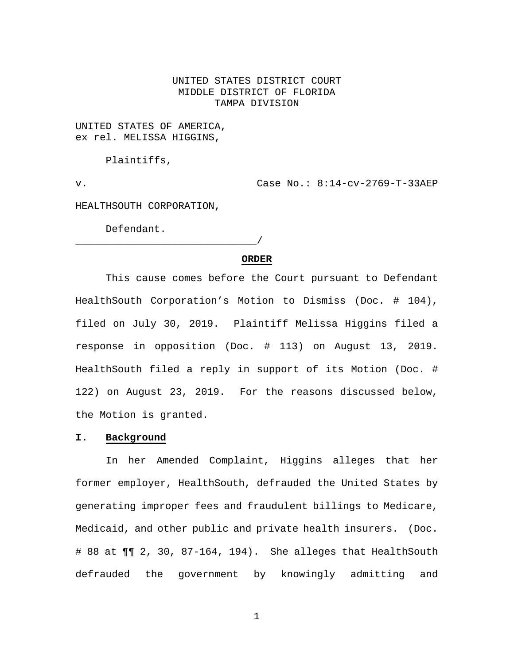# UNITED STATES DISTRICT COURT MIDDLE DISTRICT OF FLORIDA TAMPA DIVISION

UNITED STATES OF AMERICA, ex rel. MELISSA HIGGINS,

Plaintiffs,

v. Case No.: 8:14-cv-2769-T-33AEP

HEALTHSOUTH CORPORATION,

\_\_\_\_\_\_\_\_\_\_\_\_\_\_\_\_\_\_\_\_\_\_\_\_\_\_\_\_\_\_/

Defendant.

#### **ORDER**

This cause comes before the Court pursuant to Defendant HealthSouth Corporation's Motion to Dismiss (Doc. # 104), filed on July 30, 2019. Plaintiff Melissa Higgins filed a response in opposition (Doc. # 113) on August 13, 2019. HealthSouth filed a reply in support of its Motion (Doc. # 122) on August 23, 2019. For the reasons discussed below, the Motion is granted.

#### **I. Background**

In her Amended Complaint, Higgins alleges that her former employer, HealthSouth, defrauded the United States by generating improper fees and fraudulent billings to Medicare, Medicaid, and other public and private health insurers. (Doc. # 88 at ¶¶ 2, 30, 87-164, 194). She alleges that HealthSouth defrauded the government by knowingly admitting and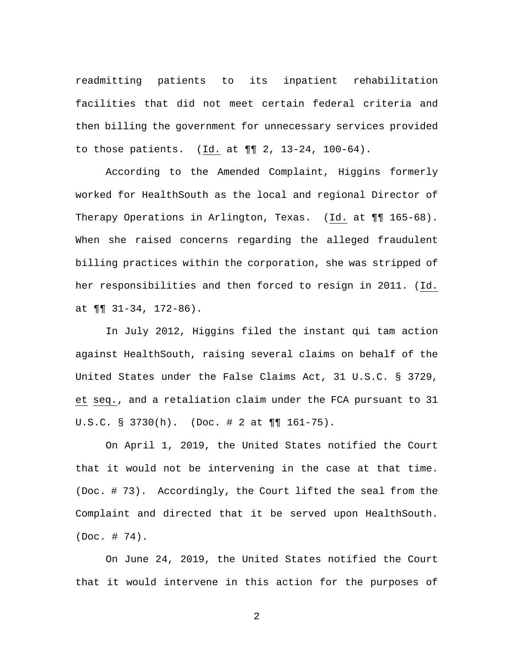readmitting patients to its inpatient rehabilitation facilities that did not meet certain federal criteria and then billing the government for unnecessary services provided to those patients. (Id. at ¶¶ 2, 13-24, 100-64).

According to the Amended Complaint, Higgins formerly worked for HealthSouth as the local and regional Director of Therapy Operations in Arlington, Texas. (Id. at  $\P\P$  165-68). When she raised concerns regarding the alleged fraudulent billing practices within the corporation, she was stripped of her responsibilities and then forced to resign in 2011. (Id. at  $\P\P$  31-34, 172-86).

In July 2012, Higgins filed the instant qui tam action against HealthSouth, raising several claims on behalf of the United States under the False Claims Act, 31 U.S.C. § 3729, et seq., and a retaliation claim under the FCA pursuant to 31 U.S.C. § 3730(h). (Doc. # 2 at ¶¶ 161-75).

On April 1, 2019, the United States notified the Court that it would not be intervening in the case at that time. (Doc. # 73). Accordingly, the Court lifted the seal from the Complaint and directed that it be served upon HealthSouth. (Doc. # 74).

On June 24, 2019, the United States notified the Court that it would intervene in this action for the purposes of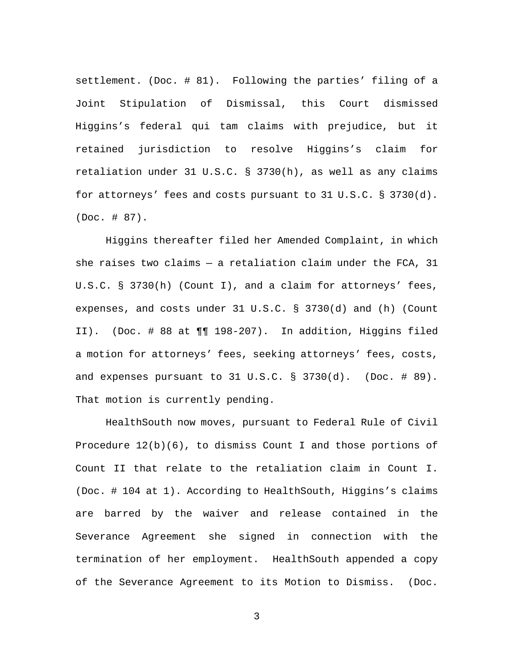settlement. (Doc. # 81). Following the parties' filing of a Joint Stipulation of Dismissal, this Court dismissed Higgins's federal qui tam claims with prejudice, but it retained jurisdiction to resolve Higgins's claim for retaliation under 31 U.S.C. § 3730(h), as well as any claims for attorneys' fees and costs pursuant to 31 U.S.C. § 3730(d). (Doc. # 87).

Higgins thereafter filed her Amended Complaint, in which she raises two claims  $-$  a retaliation claim under the FCA, 31 U.S.C. § 3730(h) (Count I), and a claim for attorneys' fees, expenses, and costs under 31 U.S.C. § 3730(d) and (h) (Count II). (Doc. # 88 at ¶¶ 198-207). In addition, Higgins filed a motion for attorneys' fees, seeking attorneys' fees, costs, and expenses pursuant to  $31 \text{ U.S.C.}$   $\S$   $3730(d)$ . (Doc.  $\#$  89). That motion is currently pending.

HealthSouth now moves, pursuant to Federal Rule of Civil Procedure  $12(b)(6)$ , to dismiss Count I and those portions of Count II that relate to the retaliation claim in Count I. (Doc. # 104 at 1). According to HealthSouth, Higgins's claims are barred by the waiver and release contained in the Severance Agreement she signed in connection with the termination of her employment. HealthSouth appended a copy of the Severance Agreement to its Motion to Dismiss. (Doc.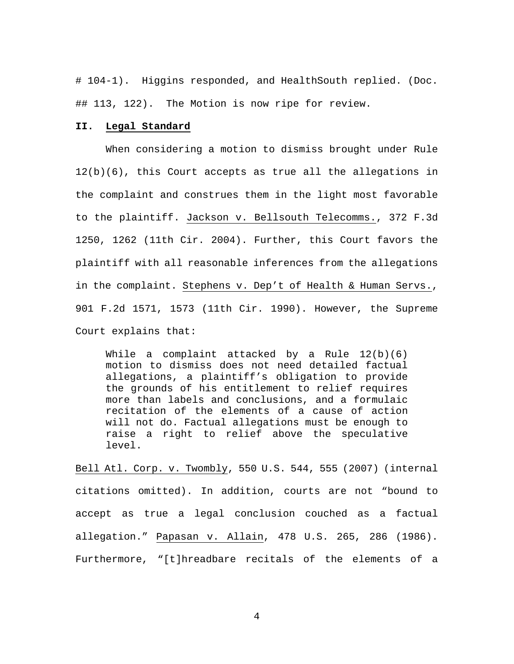# 104-1). Higgins responded, and HealthSouth replied. (Doc. ## 113, 122). The Motion is now ripe for review.

### **II. Legal Standard**

When considering a motion to dismiss brought under Rule 12(b)(6), this Court accepts as true all the allegations in the complaint and construes them in the light most favorable to the plaintiff. Jackson v. Bellsouth Telecomms., 372 F.3d 1250, 1262 (11th Cir. 2004). Further, this Court favors the plaintiff with all reasonable inferences from the allegations in the complaint. Stephens v. Dep't of Health & Human Servs., 901 F.2d 1571, 1573 (11th Cir. 1990). However, the Supreme Court explains that:

While a complaint attacked by a Rule 12(b)(6) motion to dismiss does not need detailed factual allegations, a plaintiff's obligation to provide the grounds of his entitlement to relief requires more than labels and conclusions, and a formulaic recitation of the elements of a cause of action will not do. Factual allegations must be enough to raise a right to relief above the speculative level.

Bell Atl. Corp. v. Twombly, 550 U.S. 544, 555 (2007) (internal citations omitted). In addition, courts are not "bound to accept as true a legal conclusion couched as a factual allegation." Papasan v. Allain, 478 U.S. 265, 286 (1986). Furthermore, "[t]hreadbare recitals of the elements of a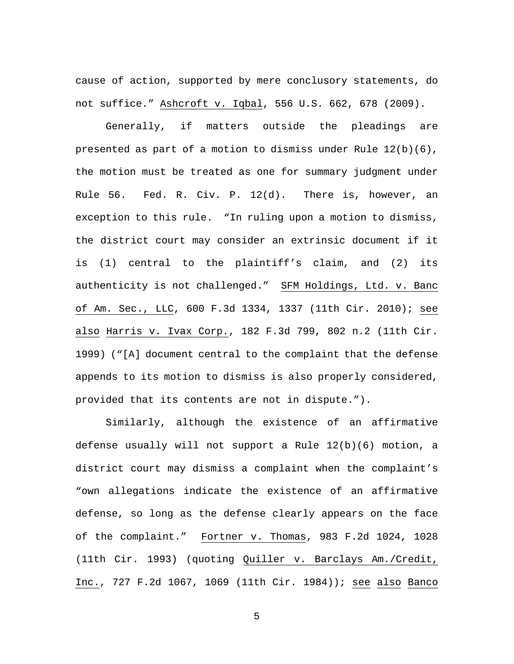cause of action, supported by mere conclusory statements, do not suffice." Ashcroft v. Iqbal, 556 U.S. 662, 678 (2009).

Generally, if matters outside the pleadings are presented as part of a motion to dismiss under Rule 12(b)(6), the motion must be treated as one for summary judgment under Rule 56. Fed. R. Civ. P. 12(d). There is, however, an exception to this rule. "In ruling upon a motion to dismiss, the district court may consider an extrinsic document if it is (1) central to the plaintiff's claim, and (2) its authenticity is not challenged." SFM Holdings, Ltd. v. Banc of Am. Sec., LLC, 600 F.3d 1334, 1337 (11th Cir. 2010); see also Harris v. Ivax Corp., 182 F.3d 799, 802 n.2 (11th Cir. 1999) ("[A] document central to the complaint that the defense appends to its motion to dismiss is also properly considered, provided that its contents are not in dispute.").

Similarly, although the existence of an affirmative defense usually will not support a Rule 12(b)(6) motion, a district court may dismiss a complaint when the complaint's "own allegations indicate the existence of an affirmative defense, so long as the defense clearly appears on the face of the complaint." Fortner v. Thomas, 983 F.2d 1024, 1028 (11th Cir. 1993) (quoting Quiller v. Barclays Am./Credit, Inc., 727 F.2d 1067, 1069 (11th Cir. 1984)); see also Banco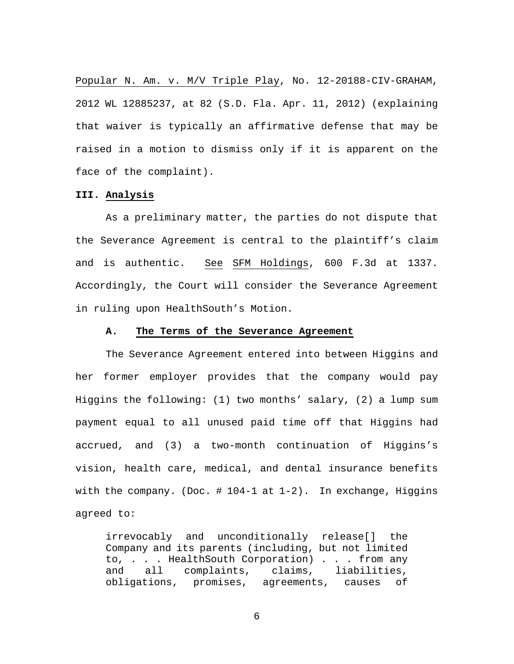Popular N. Am. v. M/V Triple Play, No. 12-20188-CIV-GRAHAM, 2012 WL 12885237, at 82 (S.D. Fla. Apr. 11, 2012) (explaining that waiver is typically an affirmative defense that may be raised in a motion to dismiss only if it is apparent on the face of the complaint).

## **III. Analysis**

As a preliminary matter, the parties do not dispute that the Severance Agreement is central to the plaintiff's claim and is authentic. See SFM Holdings, 600 F.3d at 1337. Accordingly, the Court will consider the Severance Agreement in ruling upon HealthSouth's Motion.

### **A. The Terms of the Severance Agreement**

The Severance Agreement entered into between Higgins and her former employer provides that the company would pay Higgins the following: (1) two months' salary, (2) a lump sum payment equal to all unused paid time off that Higgins had accrued, and (3) a two-month continuation of Higgins's vision, health care, medical, and dental insurance benefits with the company. (Doc.  $\# 104-1$  at  $1-2$ ). In exchange, Higgins agreed to:

irrevocably and unconditionally release[] the Company and its parents (including, but not limited to, . . . HealthSouth Corporation) . . . from any and all complaints, claims, liabilities, obligations, promises, agreements, causes of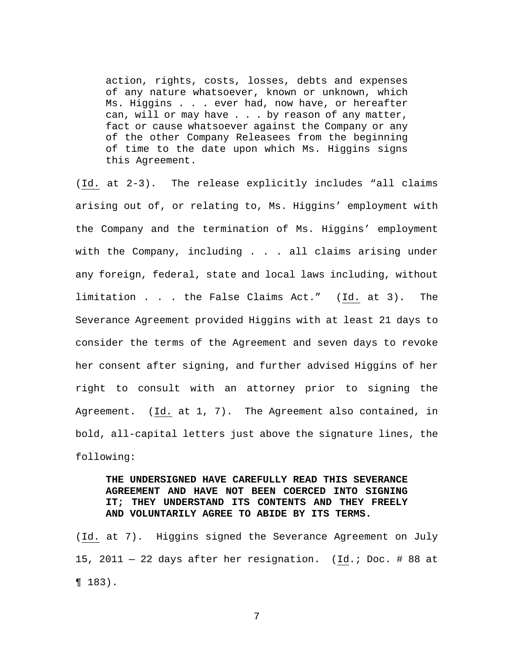action, rights, costs, losses, debts and expenses of any nature whatsoever, known or unknown, which Ms. Higgins . . . ever had, now have, or hereafter can, will or may have . . . by reason of any matter, fact or cause whatsoever against the Company or any of the other Company Releasees from the beginning of time to the date upon which Ms. Higgins signs this Agreement.

(Id. at 2-3). The release explicitly includes "all claims arising out of, or relating to, Ms. Higgins' employment with the Company and the termination of Ms. Higgins' employment with the Company, including . . . all claims arising under any foreign, federal, state and local laws including, without limitation . . . the False Claims Act." (Id. at 3). The Severance Agreement provided Higgins with at least 21 days to consider the terms of the Agreement and seven days to revoke her consent after signing, and further advised Higgins of her right to consult with an attorney prior to signing the Agreement. (Id. at 1, 7). The Agreement also contained, in bold, all-capital letters just above the signature lines, the following:

# **THE UNDERSIGNED HAVE CAREFULLY READ THIS SEVERANCE AGREEMENT AND HAVE NOT BEEN COERCED INTO SIGNING IT; THEY UNDERSTAND ITS CONTENTS AND THEY FREELY AND VOLUNTARILY AGREE TO ABIDE BY ITS TERMS.**

(Id. at 7). Higgins signed the Severance Agreement on July 15, 2011 — 22 days after her resignation. (Id.; Doc. # 88 at ¶ 183).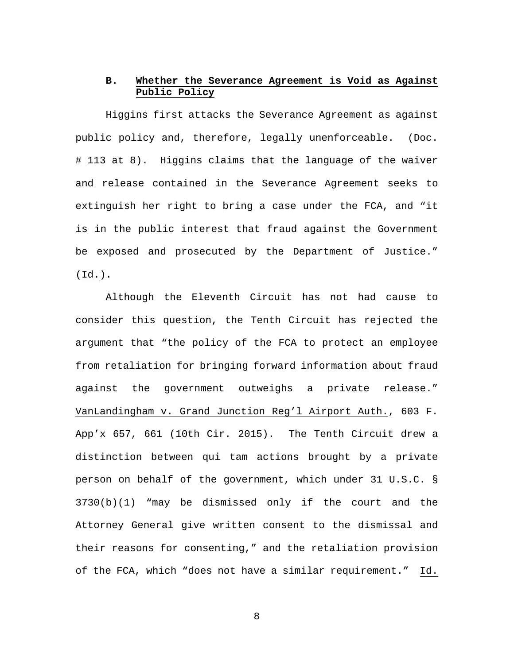## **B. Whether the Severance Agreement is Void as Against Public Policy**

Higgins first attacks the Severance Agreement as against public policy and, therefore, legally unenforceable. (Doc. # 113 at 8). Higgins claims that the language of the waiver and release contained in the Severance Agreement seeks to extinguish her right to bring a case under the FCA, and "it is in the public interest that fraud against the Government be exposed and prosecuted by the Department of Justice." (Id.).

Although the Eleventh Circuit has not had cause to consider this question, the Tenth Circuit has rejected the argument that "the policy of the FCA to protect an employee from retaliation for bringing forward information about fraud against the government outweighs a private release." VanLandingham v. Grand Junction Reg'l Airport Auth., 603 F. App'x 657, 661 (10th Cir. 2015). The Tenth Circuit drew a distinction between qui tam actions brought by a private person on behalf of the government, which under 31 U.S.C. § 3730(b)(1) "may be dismissed only if the court and the Attorney General give written consent to the dismissal and their reasons for consenting," and the retaliation provision of the FCA, which "does not have a similar requirement." Id.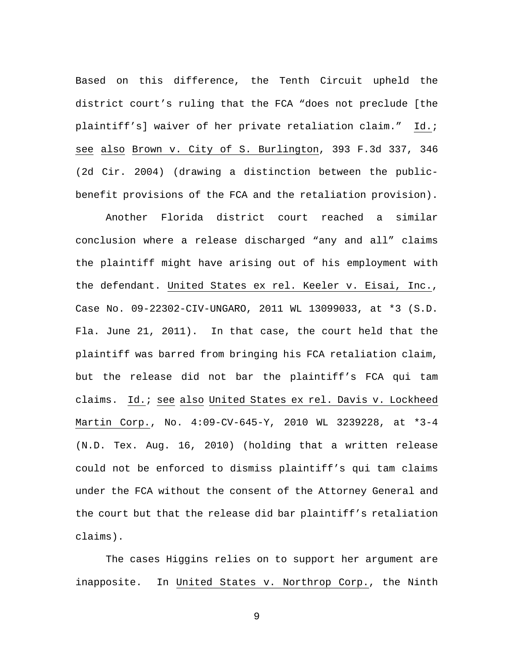Based on this difference, the Tenth Circuit upheld the district court's ruling that the FCA "does not preclude [the plaintiff's] waiver of her private retaliation claim." Id.; see also Brown v. City of S. Burlington, 393 F.3d 337, 346 (2d Cir. 2004) (drawing a distinction between the publicbenefit provisions of the FCA and the retaliation provision).

Another Florida district court reached a similar conclusion where a release discharged "any and all" claims the plaintiff might have arising out of his employment with the defendant. United States ex rel. Keeler v. Eisai, Inc., Case No. 09-22302-CIV-UNGARO, 2011 WL 13099033, at \*3 (S.D. Fla. June 21, 2011). In that case, the court held that the plaintiff was barred from bringing his FCA retaliation claim, but the release did not bar the plaintiff's FCA qui tam claims. Id.; see also United States ex rel. Davis v. Lockheed Martin Corp., No. 4:09-CV-645-Y, 2010 WL 3239228, at \*3-4 (N.D. Tex. Aug. 16, 2010) (holding that a written release could not be enforced to dismiss plaintiff's qui tam claims under the FCA without the consent of the Attorney General and the court but that the release did bar plaintiff's retaliation claims).

The cases Higgins relies on to support her argument are inapposite. In United States v. Northrop Corp., the Ninth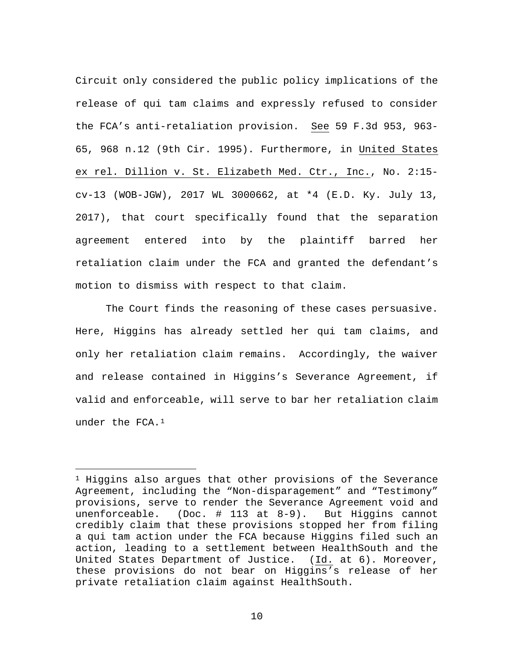Circuit only considered the public policy implications of the release of qui tam claims and expressly refused to consider the FCA's anti-retaliation provision. See 59 F.3d 953, 963- 65, 968 n.12 (9th Cir. 1995). Furthermore, in United States ex rel. Dillion v. St. Elizabeth Med. Ctr., Inc., No. 2:15 cv-13 (WOB-JGW), 2017 WL 3000662, at \*4 (E.D. Ky. July 13, 2017), that court specifically found that the separation agreement entered into by the plaintiff barred her retaliation claim under the FCA and granted the defendant's motion to dismiss with respect to that claim.

The Court finds the reasoning of these cases persuasive. Here, Higgins has already settled her qui tam claims, and only her retaliation claim remains. Accordingly, the waiver and release contained in Higgins's Severance Agreement, if valid and enforceable, will serve to bar her retaliation claim under the FCA.1

Ĩ.

 $1$  Higgins also argues that other provisions of the Severance Agreement, including the "Non-disparagement" and "Testimony" provisions, serve to render the Severance Agreement void and unenforceable. (Doc. # 113 at 8-9). But Higgins cannot credibly claim that these provisions stopped her from filing a qui tam action under the FCA because Higgins filed such an action, leading to a settlement between HealthSouth and the United States Department of Justice. (Id. at 6). Moreover, these provisions do not bear on Higgins's release of her private retaliation claim against HealthSouth.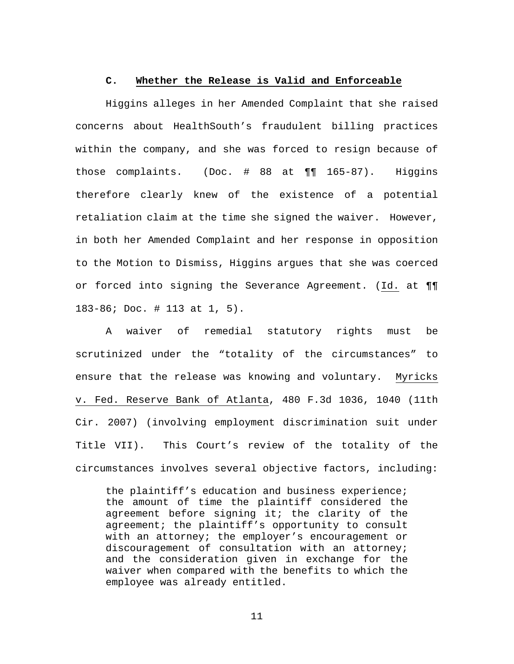#### **C. Whether the Release is Valid and Enforceable**

Higgins alleges in her Amended Complaint that she raised concerns about HealthSouth's fraudulent billing practices within the company, and she was forced to resign because of those complaints. (Doc. # 88 at ¶¶ 165-87). Higgins therefore clearly knew of the existence of a potential retaliation claim at the time she signed the waiver. However, in both her Amended Complaint and her response in opposition to the Motion to Dismiss, Higgins argues that she was coerced or forced into signing the Severance Agreement. (Id. at ¶¶ 183-86; Doc. # 113 at 1, 5).

A waiver of remedial statutory rights must be scrutinized under the "totality of the circumstances" to ensure that the release was knowing and voluntary. Myricks v. Fed. Reserve Bank of Atlanta, 480 F.3d 1036, 1040 (11th Cir. 2007) (involving employment discrimination suit under Title VII). This Court's review of the totality of the circumstances involves several objective factors, including:

the plaintiff's education and business experience; the amount of time the plaintiff considered the agreement before signing it; the clarity of the agreement; the plaintiff's opportunity to consult with an attorney; the employer's encouragement or discouragement of consultation with an attorney; and the consideration given in exchange for the waiver when compared with the benefits to which the employee was already entitled.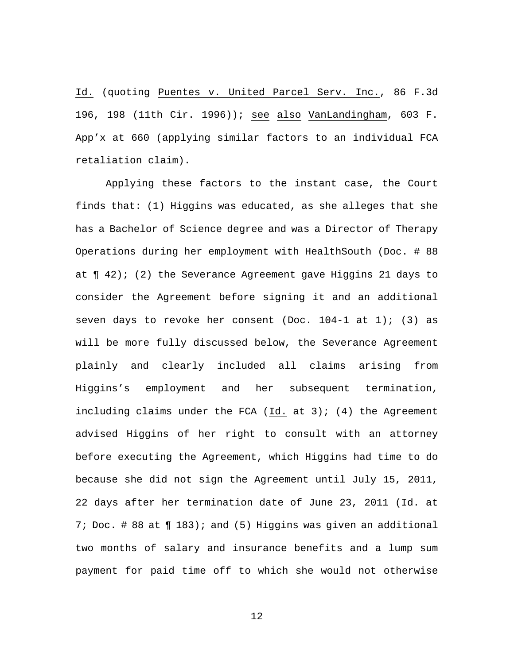Id. (quoting Puentes v. United Parcel Serv. Inc., 86 F.3d 196, 198 (11th Cir. 1996)); see also VanLandingham, 603 F. App'x at 660 (applying similar factors to an individual FCA retaliation claim).

Applying these factors to the instant case, the Court finds that: (1) Higgins was educated, as she alleges that she has a Bachelor of Science degree and was a Director of Therapy Operations during her employment with HealthSouth (Doc. # 88 at  $\P$  42); (2) the Severance Agreement gave Higgins 21 days to consider the Agreement before signing it and an additional seven days to revoke her consent (Doc.  $104-1$  at  $1$ ); (3) as will be more fully discussed below, the Severance Agreement plainly and clearly included all claims arising from Higgins's employment and her subsequent termination, including claims under the FCA (Id. at  $3$ ); (4) the Agreement advised Higgins of her right to consult with an attorney before executing the Agreement, which Higgins had time to do because she did not sign the Agreement until July 15, 2011, 22 days after her termination date of June 23, 2011 (Id. at 7; Doc. # 88 at ¶ 183); and (5) Higgins was given an additional two months of salary and insurance benefits and a lump sum payment for paid time off to which she would not otherwise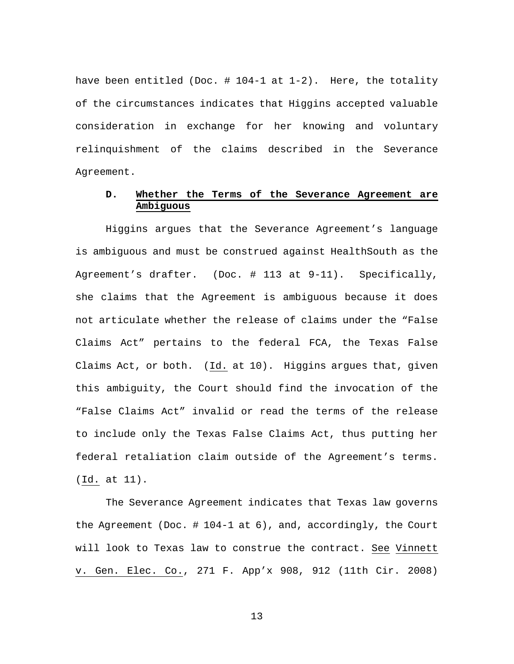have been entitled (Doc.  $\#$  104-1 at 1-2). Here, the totality of the circumstances indicates that Higgins accepted valuable consideration in exchange for her knowing and voluntary relinquishment of the claims described in the Severance Agreement.

# **D. Whether the Terms of the Severance Agreement are Ambiguous**

Higgins argues that the Severance Agreement's language is ambiguous and must be construed against HealthSouth as the Agreement's drafter. (Doc. # 113 at 9-11). Specifically, she claims that the Agreement is ambiguous because it does not articulate whether the release of claims under the "False Claims Act" pertains to the federal FCA, the Texas False Claims Act, or both. (Id. at 10). Higgins argues that, given this ambiguity, the Court should find the invocation of the "False Claims Act" invalid or read the terms of the release to include only the Texas False Claims Act, thus putting her federal retaliation claim outside of the Agreement's terms. (Id. at 11).

The Severance Agreement indicates that Texas law governs the Agreement (Doc. # 104-1 at 6), and, accordingly, the Court will look to Texas law to construe the contract. See Vinnett v. Gen. Elec. Co., 271 F. App'x 908, 912 (11th Cir. 2008)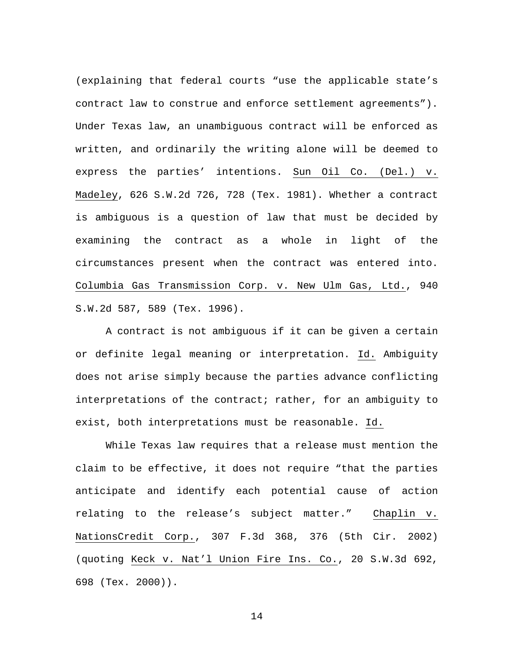(explaining that federal courts "use the applicable state's contract law to construe and enforce settlement agreements"). Under Texas law, an unambiguous contract will be enforced as written, and ordinarily the writing alone will be deemed to express the parties' intentions. Sun Oil Co. (Del.) v. Madeley, 626 S.W.2d 726, 728 (Tex. 1981). Whether a contract is ambiguous is a question of law that must be decided by examining the contract as a whole in light of the circumstances present when the contract was entered into. Columbia Gas Transmission Corp. v. New Ulm Gas, Ltd., 940 S.W.2d 587, 589 (Tex. 1996).

A contract is not ambiguous if it can be given a certain or definite legal meaning or interpretation. Id. Ambiguity does not arise simply because the parties advance conflicting interpretations of the contract; rather, for an ambiguity to exist, both interpretations must be reasonable. Id.

While Texas law requires that a release must mention the claim to be effective, it does not require "that the parties anticipate and identify each potential cause of action relating to the release's subject matter." Chaplin v. NationsCredit Corp., 307 F.3d 368, 376 (5th Cir. 2002) (quoting Keck v. Nat'l Union Fire Ins. Co., 20 S.W.3d 692, 698 (Tex. 2000)).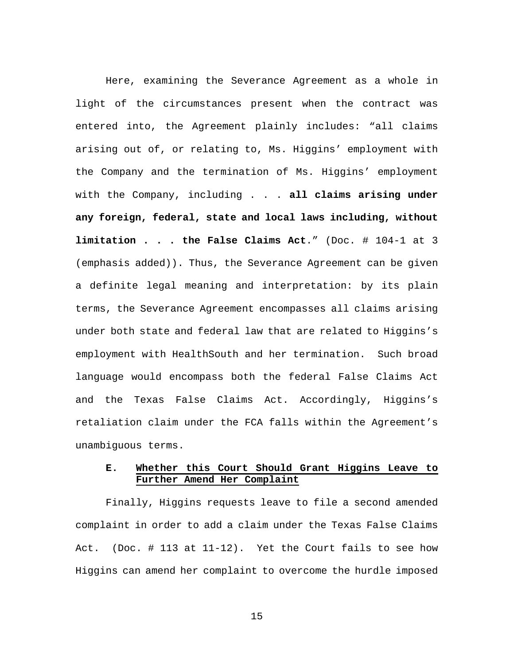Here, examining the Severance Agreement as a whole in light of the circumstances present when the contract was entered into, the Agreement plainly includes: "all claims arising out of, or relating to, Ms. Higgins' employment with the Company and the termination of Ms. Higgins' employment with the Company, including . . . **all claims arising under any foreign, federal, state and local laws including, without limitation . . . the False Claims Act**." (Doc. # 104-1 at 3 (emphasis added)). Thus, the Severance Agreement can be given a definite legal meaning and interpretation: by its plain terms, the Severance Agreement encompasses all claims arising under both state and federal law that are related to Higgins's employment with HealthSouth and her termination. Such broad language would encompass both the federal False Claims Act and the Texas False Claims Act. Accordingly, Higgins's retaliation claim under the FCA falls within the Agreement's unambiguous terms.

# **E. Whether this Court Should Grant Higgins Leave to Further Amend Her Complaint**

Finally, Higgins requests leave to file a second amended complaint in order to add a claim under the Texas False Claims Act. (Doc. # 113 at 11-12). Yet the Court fails to see how Higgins can amend her complaint to overcome the hurdle imposed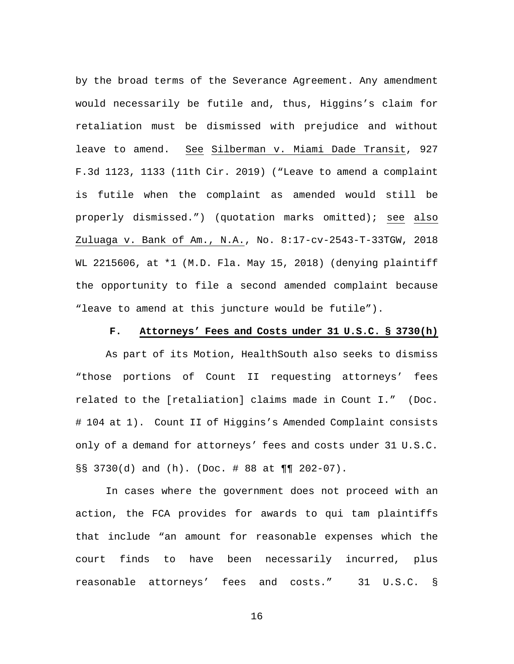by the broad terms of the Severance Agreement. Any amendment would necessarily be futile and, thus, Higgins's claim for retaliation must be dismissed with prejudice and without leave to amend. See Silberman v. Miami Dade Transit, 927 F.3d 1123, 1133 (11th Cir. 2019) ("Leave to amend a complaint is futile when the complaint as amended would still be properly dismissed.") (quotation marks omitted); see also Zuluaga v. Bank of Am., N.A., No. 8:17-cv-2543-T-33TGW, 2018 WL 2215606, at \*1 (M.D. Fla. May 15, 2018) (denying plaintiff the opportunity to file a second amended complaint because "leave to amend at this juncture would be futile").

### **F. Attorneys' Fees and Costs under 31 U.S.C. § 3730(h)**

As part of its Motion, HealthSouth also seeks to dismiss "those portions of Count II requesting attorneys' fees related to the [retaliation] claims made in Count I." (Doc. # 104 at 1). Count II of Higgins's Amended Complaint consists only of a demand for attorneys' fees and costs under 31 U.S.C. §§ 3730(d) and (h). (Doc. # 88 at ¶¶ 202-07).

In cases where the government does not proceed with an action, the FCA provides for awards to qui tam plaintiffs that include "an amount for reasonable expenses which the court finds to have been necessarily incurred, plus reasonable attorneys' fees and costs." 31 U.S.C. §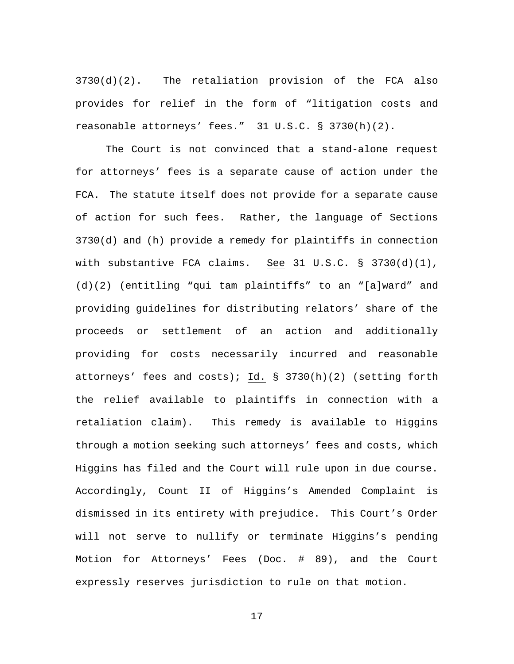$3730(d)(2)$ . The retaliation provision of the FCA also provides for relief in the form of "litigation costs and reasonable attorneys' fees." 31 U.S.C. § 3730(h)(2).

The Court is not convinced that a stand-alone request for attorneys' fees is a separate cause of action under the FCA. The statute itself does not provide for a separate cause of action for such fees. Rather, the language of Sections 3730(d) and (h) provide a remedy for plaintiffs in connection with substantive FCA claims. See 31 U.S.C.  $\S$  3730(d)(1), (d)(2) (entitling "qui tam plaintiffs" to an "[a]ward" and providing guidelines for distributing relators' share of the proceeds or settlement of an action and additionally providing for costs necessarily incurred and reasonable attorneys' fees and costs); Id. § 3730(h)(2) (setting forth the relief available to plaintiffs in connection with a retaliation claim). This remedy is available to Higgins through a motion seeking such attorneys' fees and costs, which Higgins has filed and the Court will rule upon in due course. Accordingly, Count II of Higgins's Amended Complaint is dismissed in its entirety with prejudice. This Court's Order will not serve to nullify or terminate Higgins's pending Motion for Attorneys' Fees (Doc. # 89), and the Court expressly reserves jurisdiction to rule on that motion.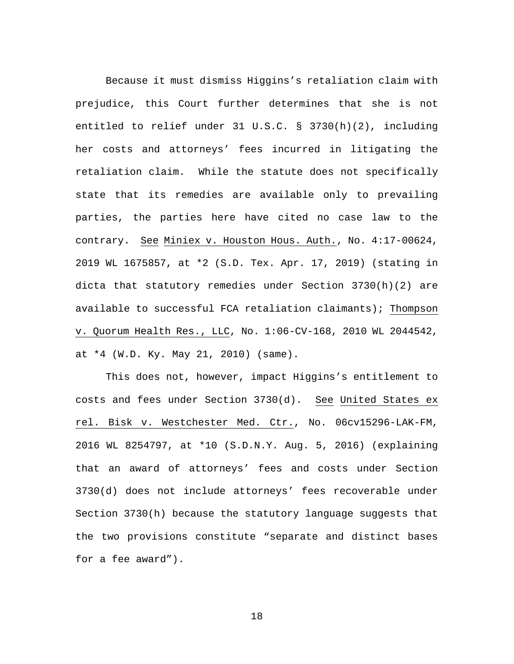Because it must dismiss Higgins's retaliation claim with prejudice, this Court further determines that she is not entitled to relief under 31 U.S.C. § 3730(h)(2), including her costs and attorneys' fees incurred in litigating the retaliation claim. While the statute does not specifically state that its remedies are available only to prevailing parties, the parties here have cited no case law to the contrary. See Miniex v. Houston Hous. Auth., No. 4:17-00624, 2019 WL 1675857, at \*2 (S.D. Tex. Apr. 17, 2019) (stating in dicta that statutory remedies under Section 3730(h)(2) are available to successful FCA retaliation claimants); Thompson v. Quorum Health Res., LLC, No. 1:06-CV-168, 2010 WL 2044542, at \*4 (W.D. Ky. May 21, 2010) (same).

This does not, however, impact Higgins's entitlement to costs and fees under Section 3730(d). See United States ex rel. Bisk v. Westchester Med. Ctr., No. 06cv15296-LAK-FM, 2016 WL 8254797, at \*10 (S.D.N.Y. Aug. 5, 2016) (explaining that an award of attorneys' fees and costs under Section 3730(d) does not include attorneys' fees recoverable under Section 3730(h) because the statutory language suggests that the two provisions constitute "separate and distinct bases for a fee award").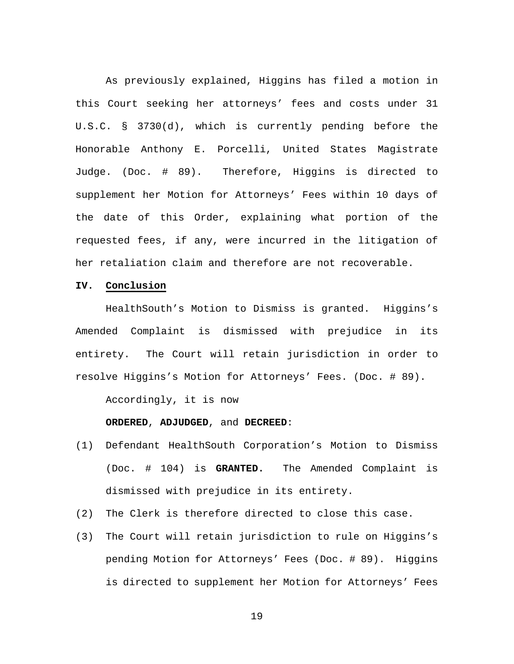As previously explained, Higgins has filed a motion in this Court seeking her attorneys' fees and costs under 31 U.S.C. § 3730(d), which is currently pending before the Honorable Anthony E. Porcelli, United States Magistrate Judge. (Doc. # 89). Therefore, Higgins is directed to supplement her Motion for Attorneys' Fees within 10 days of the date of this Order, explaining what portion of the requested fees, if any, were incurred in the litigation of her retaliation claim and therefore are not recoverable.

## **IV. Conclusion**

HealthSouth's Motion to Dismiss is granted. Higgins's Amended Complaint is dismissed with prejudice in its entirety. The Court will retain jurisdiction in order to resolve Higgins's Motion for Attorneys' Fees. (Doc. # 89).

Accordingly, it is now

#### **ORDERED**, **ADJUDGED**, and **DECREED**:

- (1) Defendant HealthSouth Corporation's Motion to Dismiss (Doc. # 104) is **GRANTED.** The Amended Complaint is dismissed with prejudice in its entirety.
- (2) The Clerk is therefore directed to close this case.
- (3) The Court will retain jurisdiction to rule on Higgins's pending Motion for Attorneys' Fees (Doc. # 89). Higgins is directed to supplement her Motion for Attorneys' Fees